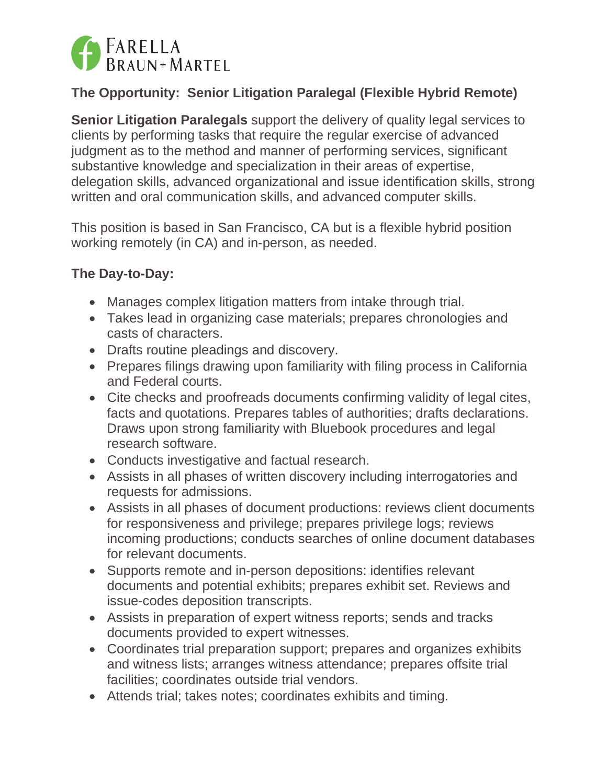

## **The Opportunity: Senior Litigation Paralegal (Flexible Hybrid Remote)**

**Senior Litigation Paralegals** support the delivery of quality legal services to clients by performing tasks that require the regular exercise of advanced judgment as to the method and manner of performing services, significant substantive knowledge and specialization in their areas of expertise, delegation skills, advanced organizational and issue identification skills, strong written and oral communication skills, and advanced computer skills.

This position is based in San Francisco, CA but is a flexible hybrid position working remotely (in CA) and in-person, as needed.

## **The Day-to-Day:**

- Manages complex litigation matters from intake through trial.
- Takes lead in organizing case materials; prepares chronologies and casts of characters.
- Drafts routine pleadings and discovery.
- Prepares filings drawing upon familiarity with filing process in California and Federal courts.
- Cite checks and proofreads documents confirming validity of legal cites, facts and quotations. Prepares tables of authorities; drafts declarations. Draws upon strong familiarity with Bluebook procedures and legal research software.
- Conducts investigative and factual research.
- Assists in all phases of written discovery including interrogatories and requests for admissions.
- Assists in all phases of document productions: reviews client documents for responsiveness and privilege; prepares privilege logs; reviews incoming productions; conducts searches of online document databases for relevant documents.
- Supports remote and in-person depositions: identifies relevant documents and potential exhibits; prepares exhibit set. Reviews and issue-codes deposition transcripts.
- Assists in preparation of expert witness reports; sends and tracks documents provided to expert witnesses.
- Coordinates trial preparation support; prepares and organizes exhibits and witness lists; arranges witness attendance; prepares offsite trial facilities; coordinates outside trial vendors.
- Attends trial; takes notes; coordinates exhibits and timing.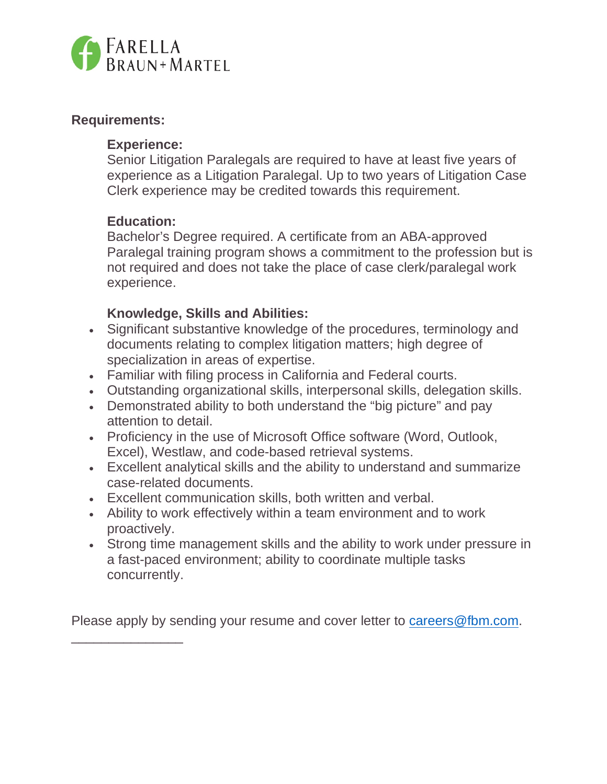

#### **Requirements:**

#### **Experience:**

Senior Litigation Paralegals are required to have at least five years of experience as a Litigation Paralegal. Up to two years of Litigation Case Clerk experience may be credited towards this requirement.

### **Education:**

\_\_\_\_\_\_\_\_\_\_\_\_\_\_\_

Bachelor's Degree required. A certificate from an ABA-approved Paralegal training program shows a commitment to the profession but is not required and does not take the place of case clerk/paralegal work experience.

### **Knowledge, Skills and Abilities:**

- Significant substantive knowledge of the procedures, terminology and documents relating to complex litigation matters; high degree of specialization in areas of expertise.
- Familiar with filing process in California and Federal courts.
- Outstanding organizational skills, interpersonal skills, delegation skills.
- Demonstrated ability to both understand the "big picture" and pay attention to detail.
- Proficiency in the use of Microsoft Office software (Word, Outlook, Excel), Westlaw, and code-based retrieval systems.
- Excellent analytical skills and the ability to understand and summarize case-related documents.
- Excellent communication skills, both written and verbal.
- Ability to work effectively within a team environment and to work proactively.
- Strong time management skills and the ability to work under pressure in a fast-paced environment; ability to coordinate multiple tasks concurrently.

Please apply by sending your resume and cover letter to careers@fbm.com.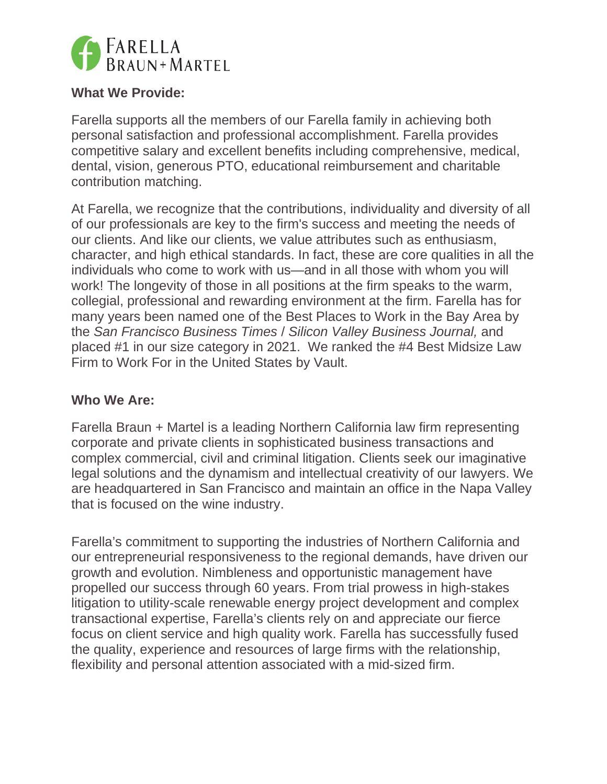

#### **What We Provide:**

Farella supports all the members of our Farella family in achieving both personal satisfaction and professional accomplishment. Farella provides competitive salary and excellent benefits including comprehensive, medical, dental, vision, generous PTO, educational reimbursement and charitable contribution matching.

At Farella, we recognize that the contributions, individuality and diversity of all of our professionals are key to the firm's success and meeting the needs of our clients. And like our clients, we value attributes such as enthusiasm, character, and high ethical standards. In fact, these are core qualities in all the individuals who come to work with us—and in all those with whom you will work! The longevity of those in all positions at the firm speaks to the warm, collegial, professional and rewarding environment at the firm. Farella has for many years been named one of the Best Places to Work in the Bay Area by the *San Francisco Business Times* / *Silicon Valley Business Journal,* and placed #1 in our size category in 2021. We ranked the #4 Best Midsize Law Firm to Work For in the United States by Vault.

#### **Who We Are:**

Farella Braun + Martel is a leading Northern California law firm representing corporate and private clients in sophisticated business transactions and complex commercial, civil and criminal litigation. Clients seek our imaginative legal solutions and the dynamism and intellectual creativity of our lawyers. We are headquartered in San Francisco and maintain an office in the Napa Valley that is focused on the wine industry.

Farella's commitment to supporting the industries of Northern California and our entrepreneurial responsiveness to the regional demands, have driven our growth and evolution. Nimbleness and opportunistic management have propelled our success through 60 years. From trial prowess in high-stakes litigation to utility-scale renewable energy project development and complex transactional expertise, Farella's clients rely on and appreciate our fierce focus on client service and high quality work. Farella has successfully fused the quality, experience and resources of large firms with the relationship, flexibility and personal attention associated with a mid-sized firm.